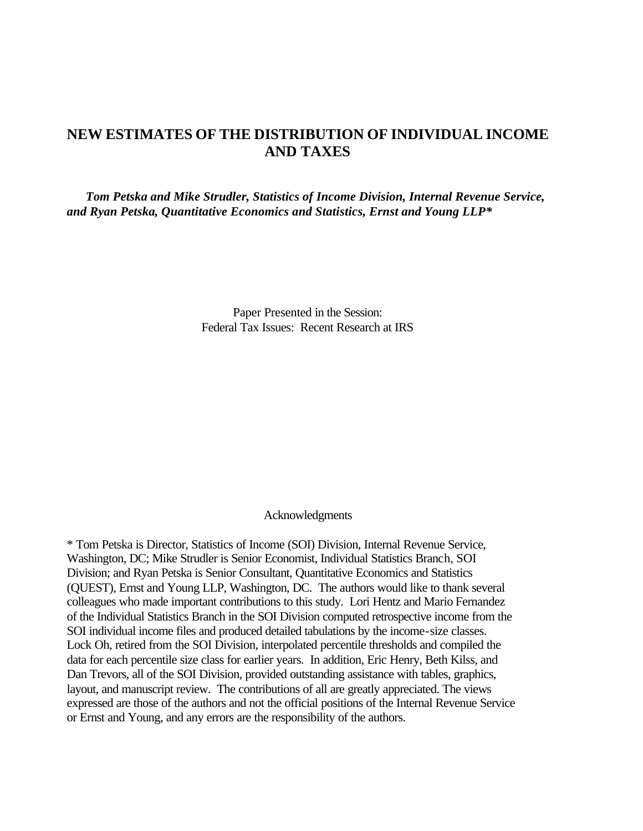# **NEW ESTIMATES OF THE DISTRIBUTION OF INDIVIDUAL INCOME AND TAXES**

*Tom Petska and Mike Strudler, Statistics of Income Division, Internal Revenue Service, and Ryan Petska, Quantitative Economics and Statistics, Ernst and Young LLP\**

> Paper Presented in the Session: Federal Tax Issues: Recent Research at IRS

### Acknowledgments

\* Tom Petska is Director, Statistics of Income (SOI) Division, Internal Revenue Service, Washington, DC; Mike Strudler is Senior Economist, Individual Statistics Branch, SOI Division; and Ryan Petska is Senior Consultant, Quantitative Economics and Statistics (QUEST), Ernst and Young LLP, Washington, DC. The authors would like to thank several colleagues who made important contributions to this study. Lori Hentz and Mario Fernandez of the Individual Statistics Branch in the SOI Division computed retrospective income from the SOI individual income files and produced detailed tabulations by the income-size classes. Lock Oh, retired from the SOI Division, interpolated percentile thresholds and compiled the data for each percentile size class for earlier years. In addition, Eric Henry, Beth Kilss, and Dan Trevors, all of the SOI Division, provided outstanding assistance with tables, graphics, layout, and manuscript review. The contributions of all are greatly appreciated. The views expressed are those of the authors and not the official positions of the Internal Revenue Service or Ernst and Young, and any errors are the responsibility of the authors.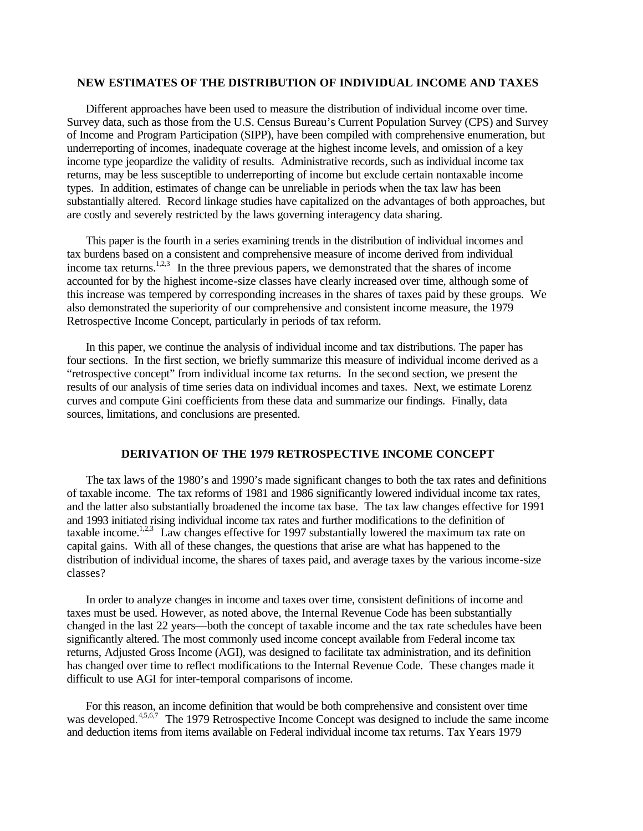### **NEW ESTIMATES OF THE DISTRIBUTION OF INDIVIDUAL INCOME AND TAXES**

Different approaches have been used to measure the distribution of individual income over time. Survey data, such as those from the U.S. Census Bureau's Current Population Survey (CPS) and Survey of Income and Program Participation (SIPP), have been compiled with comprehensive enumeration, but underreporting of incomes, inadequate coverage at the highest income levels, and omission of a key income type jeopardize the validity of results. Administrative records, such as individual income tax returns, may be less susceptible to underreporting of income but exclude certain nontaxable income types. In addition, estimates of change can be unreliable in periods when the tax law has been substantially altered. Record linkage studies have capitalized on the advantages of both approaches, but are costly and severely restricted by the laws governing interagency data sharing.

This paper is the fourth in a series examining trends in the distribution of individual incomes and tax burdens based on a consistent and comprehensive measure of income derived from individual income tax returns.<sup>1,2,3</sup> In the three previous papers, we demonstrated that the shares of income accounted for by the highest income-size classes have clearly increased over time, although some of this increase was tempered by corresponding increases in the shares of taxes paid by these groups. We also demonstrated the superiority of our comprehensive and consistent income measure, the 1979 Retrospective Income Concept, particularly in periods of tax reform.

In this paper, we continue the analysis of individual income and tax distributions. The paper has four sections. In the first section, we briefly summarize this measure of individual income derived as a "retrospective concept" from individual income tax returns. In the second section, we present the results of our analysis of time series data on individual incomes and taxes. Next, we estimate Lorenz curves and compute Gini coefficients from these data and summarize our findings. Finally, data sources, limitations, and conclusions are presented.

#### **DERIVATION OF THE 1979 RETROSPECTIVE INCOME CONCEPT**

The tax laws of the 1980's and 1990's made significant changes to both the tax rates and definitions of taxable income. The tax reforms of 1981 and 1986 significantly lowered individual income tax rates, and the latter also substantially broadened the income tax base. The tax law changes effective for 1991 and 1993 initiated rising individual income tax rates and further modifications to the definition of taxable income.<sup>1,2,3</sup> Law changes effective for 1997 substantially lowered the maximum tax rate on capital gains. With all of these changes, the questions that arise are what has happened to the distribution of individual income, the shares of taxes paid, and average taxes by the various income-size classes?

In order to analyze changes in income and taxes over time, consistent definitions of income and taxes must be used. However, as noted above, the Internal Revenue Code has been substantially changed in the last 22 years—both the concept of taxable income and the tax rate schedules have been significantly altered. The most commonly used income concept available from Federal income tax returns, Adjusted Gross Income (AGI), was designed to facilitate tax administration, and its definition has changed over time to reflect modifications to the Internal Revenue Code. These changes made it difficult to use AGI for inter-temporal comparisons of income.

For this reason, an income definition that would be both comprehensive and consistent over time was developed.<sup>4,5,6,7</sup> The 1979 Retrospective Income Concept was designed to include the same income and deduction items from items available on Federal individual income tax returns. Tax Years 1979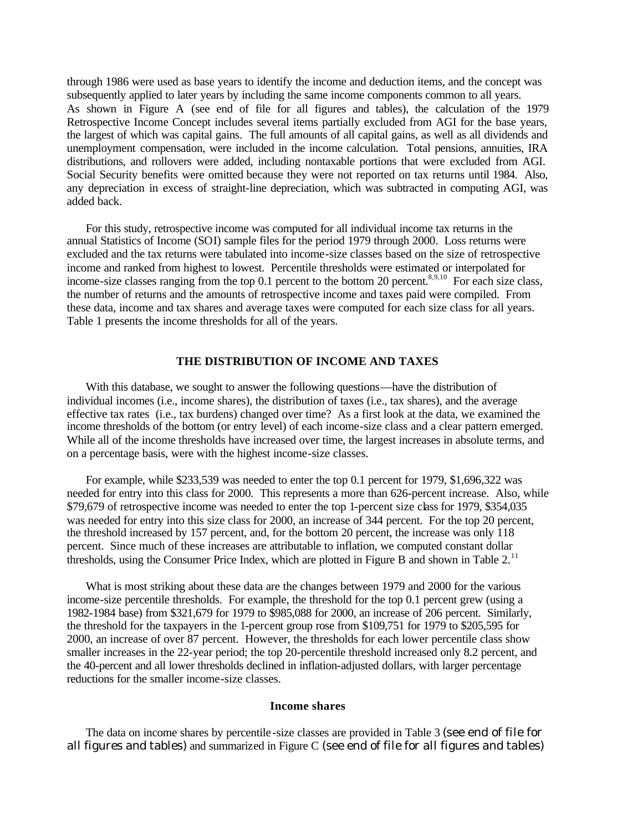through 1986 were used as base years to identify the income and deduction items, and the concept was subsequently applied to later years by including the same income components common to all years. As shown in Figure A (see end of file for all figures and tables), the calculation of the 1979 Retrospective Income Concept includes several items partially excluded from AGI for the base years, the largest of which was capital gains. The full amounts of all capital gains, as well as all dividends and unemployment compensation, were included in the income calculation. Total pensions, annuities, IRA distributions, and rollovers were added, including nontaxable portions that were excluded from AGI. Social Security benefits were omitted because they were not reported on tax returns until 1984. Also, any depreciation in excess of straight-line depreciation, which was subtracted in computing AGI, was added back.

For this study, retrospective income was computed for all individual income tax returns in the annual Statistics of Income (SOI) sample files for the period 1979 through 2000. Loss returns were excluded and the tax returns were tabulated into income-size classes based on the size of retrospective income and ranked from highest to lowest. Percentile thresholds were estimated or interpolated for income-size classes ranging from the top 0.1 percent to the bottom 20 percent.<sup>8,9,10</sup> For each size class, the number of returns and the amounts of retrospective income and taxes paid were compiled. From these data, income and tax shares and average taxes were computed for each size class for all years. Table 1 presents the income thresholds for all of the years.

## **THE DISTRIBUTION OF INCOME AND TAXES**

With this database, we sought to answer the following questions—have the distribution of individual incomes (i.e., income shares), the distribution of taxes (i.e., tax shares), and the average effective tax rates (i.e., tax burdens) changed over time? As a first look at the data, we examined the income thresholds of the bottom (or entry level) of each income-size class and a clear pattern emerged. While all of the income thresholds have increased over time, the largest increases in absolute terms, and on a percentage basis, were with the highest income-size classes.

For example, while \$233,539 was needed to enter the top 0.1 percent for 1979, \$1,696,322 was needed for entry into this class for 2000. This represents a more than 626-percent increase. Also, while \$79,679 of retrospective income was needed to enter the top 1-percent size class for 1979, \$354,035 was needed for entry into this size class for 2000, an increase of 344 percent. For the top 20 percent, the threshold increased by 157 percent, and, for the bottom 20 percent, the increase was only 118 percent. Since much of these increases are attributable to inflation, we computed constant dollar thresholds, using the Consumer Price Index, which are plotted in Figure B and shown in Table 2.<sup>11</sup>

What is most striking about these data are the changes between 1979 and 2000 for the various income-size percentile thresholds. For example, the threshold for the top 0.1 percent grew (using a 1982-1984 base) from \$321,679 for 1979 to \$985,088 for 2000, an increase of 206 percent. Similarly, the threshold for the taxpayers in the 1-percent group rose from \$109,751 for 1979 to \$205,595 for 2000, an increase of over 87 percent. However, the thresholds for each lower percentile class show smaller increases in the 22-year period; the top 20-percentile threshold increased only 8.2 percent, and the 40-percent and all lower thresholds declined in inflation-adjusted dollars, with larger percentage reductions for the smaller income-size classes.

#### **Income shares**

The data on income shares by percentile -size classes are provided in Table 3 (see end of file for all figures and tables) and summarized in Figure C (see end of file for all figures and tables)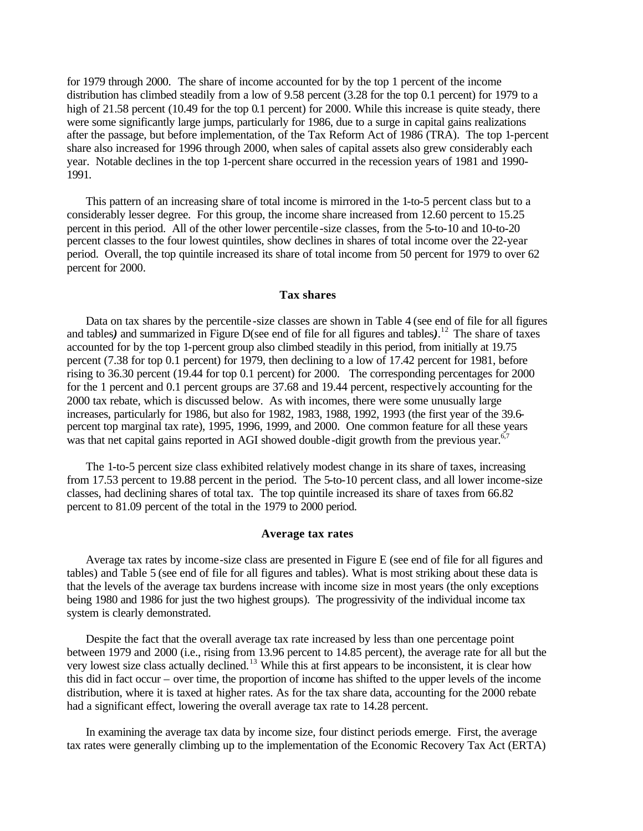for 1979 through 2000. The share of income accounted for by the top 1 percent of the income distribution has climbed steadily from a low of 9.58 percent (3.28 for the top 0.1 percent) for 1979 to a high of 21.58 percent (10.49 for the top 0.1 percent) for 2000. While this increase is quite steady, there were some significantly large jumps, particularly for 1986, due to a surge in capital gains realizations after the passage, but before implementation, of the Tax Reform Act of 1986 (TRA). The top 1-percent share also increased for 1996 through 2000, when sales of capital assets also grew considerably each year. Notable declines in the top 1-percent share occurred in the recession years of 1981 and 1990- 1991.

This pattern of an increasing share of total income is mirrored in the 1-to-5 percent class but to a considerably lesser degree. For this group, the income share increased from 12.60 percent to 15.25 percent in this period. All of the other lower percentile -size classes, from the 5-to-10 and 10-to-20 percent classes to the four lowest quintiles, show declines in shares of total income over the 22-year period. Overall, the top quintile increased its share of total income from 50 percent for 1979 to over 62 percent for 2000.

### **Tax shares**

Data on tax shares by the percentile -size classes are shown in Table 4 (see end of file for all figures and tables) and summarized in Figure D(see end of file for all figures and tables).<sup>12</sup> The share of taxes accounted for by the top 1-percent group also climbed steadily in this period, from initially at 19.75 percent (7.38 for top 0.1 percent) for 1979, then declining to a low of 17.42 percent for 1981, before rising to 36.30 percent (19.44 for top 0.1 percent) for 2000. The corresponding percentages for 2000 for the 1 percent and 0.1 percent groups are 37.68 and 19.44 percent, respectively accounting for the 2000 tax rebate, which is discussed below. As with incomes, there were some unusually large increases, particularly for 1986, but also for 1982, 1983, 1988, 1992, 1993 (the first year of the 39.6 percent top marginal tax rate), 1995, 1996, 1999, and 2000. One common feature for all these years was that net capital gains reported in AGI showed double-digit growth from the previous year.<sup>6,7</sup>

The 1-to-5 percent size class exhibited relatively modest change in its share of taxes, increasing from 17.53 percent to 19.88 percent in the period. The 5-to-10 percent class, and all lower income-size classes, had declining shares of total tax. The top quintile increased its share of taxes from 66.82 percent to 81.09 percent of the total in the 1979 to 2000 period.

#### **Average tax rates**

Average tax rates by income-size class are presented in Figure E (see end of file for all figures and tables) and Table 5 (see end of file for all figures and tables). What is most striking about these data is that the levels of the average tax burdens increase with income size in most years (the only exceptions being 1980 and 1986 for just the two highest groups). The progressivity of the individual income tax system is clearly demonstrated.

Despite the fact that the overall average tax rate increased by less than one percentage point between 1979 and 2000 (i.e., rising from 13.96 percent to 14.85 percent), the average rate for all but the very lowest size class actually declined.<sup>13</sup> While this at first appears to be inconsistent, it is clear how this did in fact occur – over time, the proportion of income has shifted to the upper levels of the income distribution, where it is taxed at higher rates. As for the tax share data, accounting for the 2000 rebate had a significant effect, lowering the overall average tax rate to 14.28 percent.

In examining the average tax data by income size, four distinct periods emerge. First, the average tax rates were generally climbing up to the implementation of the Economic Recovery Tax Act (ERTA)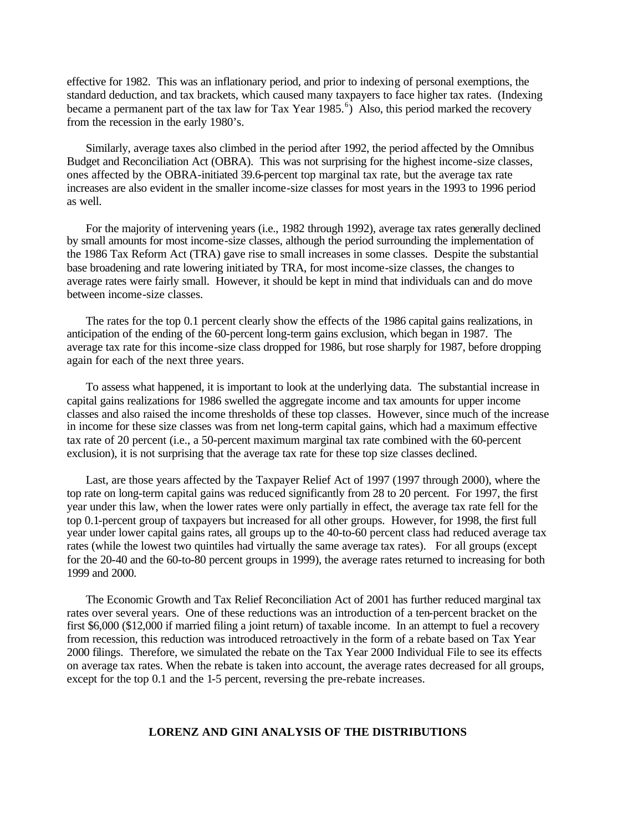effective for 1982. This was an inflationary period, and prior to indexing of personal exemptions, the standard deduction, and tax brackets, which caused many taxpayers to face higher tax rates. (Indexing became a permanent part of the tax law for Tax Year  $1985.$ <sup>6</sup>) Also, this period marked the recovery from the recession in the early 1980's.

Similarly, average taxes also climbed in the period after 1992, the period affected by the Omnibus Budget and Reconciliation Act (OBRA). This was not surprising for the highest income-size classes, ones affected by the OBRA-initiated 39.6-percent top marginal tax rate, but the average tax rate increases are also evident in the smaller income-size classes for most years in the 1993 to 1996 period as well.

For the majority of intervening years (i.e., 1982 through 1992), average tax rates generally declined by small amounts for most income-size classes, although the period surrounding the implementation of the 1986 Tax Reform Act (TRA) gave rise to small increases in some classes. Despite the substantial base broadening and rate lowering initiated by TRA, for most income-size classes, the changes to average rates were fairly small. However, it should be kept in mind that individuals can and do move between income-size classes.

The rates for the top 0.1 percent clearly show the effects of the 1986 capital gains realizations, in anticipation of the ending of the 60-percent long-term gains exclusion, which began in 1987. The average tax rate for this income-size class dropped for 1986, but rose sharply for 1987, before dropping again for each of the next three years.

To assess what happened, it is important to look at the underlying data. The substantial increase in capital gains realizations for 1986 swelled the aggregate income and tax amounts for upper income classes and also raised the income thresholds of these top classes. However, since much of the increase in income for these size classes was from net long-term capital gains, which had a maximum effective tax rate of 20 percent (i.e., a 50-percent maximum marginal tax rate combined with the 60-percent exclusion), it is not surprising that the average tax rate for these top size classes declined.

Last, are those years affected by the Taxpayer Relief Act of 1997 (1997 through 2000), where the top rate on long-term capital gains was reduced significantly from 28 to 20 percent. For 1997, the first year under this law, when the lower rates were only partially in effect, the average tax rate fell for the top 0.1-percent group of taxpayers but increased for all other groups. However, for 1998, the first full year under lower capital gains rates, all groups up to the 40-to-60 percent class had reduced average tax rates (while the lowest two quintiles had virtually the same average tax rates). For all groups (except for the 20-40 and the 60-to-80 percent groups in 1999), the average rates returned to increasing for both 1999 and 2000.

The Economic Growth and Tax Relief Reconciliation Act of 2001 has further reduced marginal tax rates over several years. One of these reductions was an introduction of a ten-percent bracket on the first \$6,000 (\$12,000 if married filing a joint return) of taxable income. In an attempt to fuel a recovery from recession, this reduction was introduced retroactively in the form of a rebate based on Tax Year 2000 filings. Therefore, we simulated the rebate on the Tax Year 2000 Individual File to see its effects on average tax rates. When the rebate is taken into account, the average rates decreased for all groups, except for the top 0.1 and the 1-5 percent, reversing the pre-rebate increases.

## **LORENZ AND GINI ANALYSIS OF THE DISTRIBUTIONS**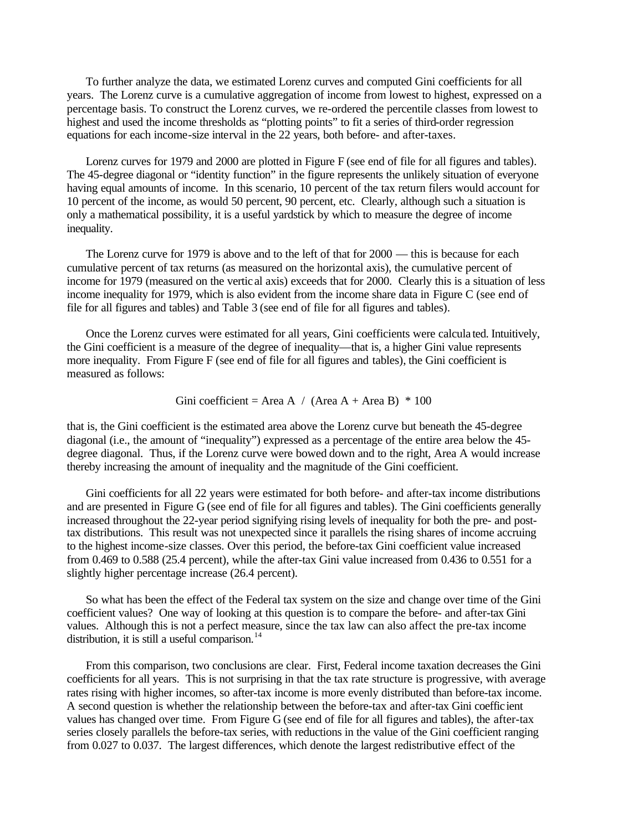To further analyze the data, we estimated Lorenz curves and computed Gini coefficients for all years. The Lorenz curve is a cumulative aggregation of income from lowest to highest, expressed on a percentage basis. To construct the Lorenz curves, we re-ordered the percentile classes from lowest to highest and used the income thresholds as "plotting points" to fit a series of third-order regression equations for each income-size interval in the 22 years, both before- and after-taxes.

Lorenz curves for 1979 and 2000 are plotted in Figure F (see end of file for all figures and tables). The 45-degree diagonal or "identity function" in the figure represents the unlikely situation of everyone having equal amounts of income. In this scenario, 10 percent of the tax return filers would account for 10 percent of the income, as would 50 percent, 90 percent, etc. Clearly, although such a situation is only a mathematical possibility, it is a useful yardstick by which to measure the degree of income inequality.

The Lorenz curve for 1979 is above and to the left of that for 2000 — this is because for each cumulative percent of tax returns (as measured on the horizontal axis), the cumulative percent of income for 1979 (measured on the vertic al axis) exceeds that for 2000. Clearly this is a situation of less income inequality for 1979, which is also evident from the income share data in Figure C (see end of file for all figures and tables) and Table 3 (see end of file for all figures and tables).

Once the Lorenz curves were estimated for all years, Gini coefficients were calcula ted. Intuitively, the Gini coefficient is a measure of the degree of inequality—that is, a higher Gini value represents more inequality. From Figure F (see end of file for all figures and tables), the Gini coefficient is measured as follows:

Gini coefficient = Area A / (Area A + Area B) \* 100

that is, the Gini coefficient is the estimated area above the Lorenz curve but beneath the 45-degree diagonal (i.e., the amount of "inequality") expressed as a percentage of the entire area below the 45 degree diagonal. Thus, if the Lorenz curve were bowed down and to the right, Area A would increase thereby increasing the amount of inequality and the magnitude of the Gini coefficient.

Gini coefficients for all 22 years were estimated for both before- and after-tax income distributions and are presented in Figure G (see end of file for all figures and tables). The Gini coefficients generally increased throughout the 22-year period signifying rising levels of inequality for both the pre- and posttax distributions. This result was not unexpected since it parallels the rising shares of income accruing to the highest income-size classes. Over this period, the before-tax Gini coefficient value increased from 0.469 to 0.588 (25.4 percent), while the after-tax Gini value increased from 0.436 to 0.551 for a slightly higher percentage increase (26.4 percent).

So what has been the effect of the Federal tax system on the size and change over time of the Gini coefficient values? One way of looking at this question is to compare the before- and after-tax Gini values. Although this is not a perfect measure, since the tax law can also affect the pre-tax income distribution, it is still a useful comparison. $<sup>14</sup>$ </sup>

From this comparison, two conclusions are clear. First, Federal income taxation decreases the Gini coefficients for all years. This is not surprising in that the tax rate structure is progressive, with average rates rising with higher incomes, so after-tax income is more evenly distributed than before-tax income. A second question is whether the relationship between the before-tax and after-tax Gini coefficient values has changed over time. From Figure G (see end of file for all figures and tables), the after-tax series closely parallels the before-tax series, with reductions in the value of the Gini coefficient ranging from 0.027 to 0.037. The largest differences, which denote the largest redistributive effect of the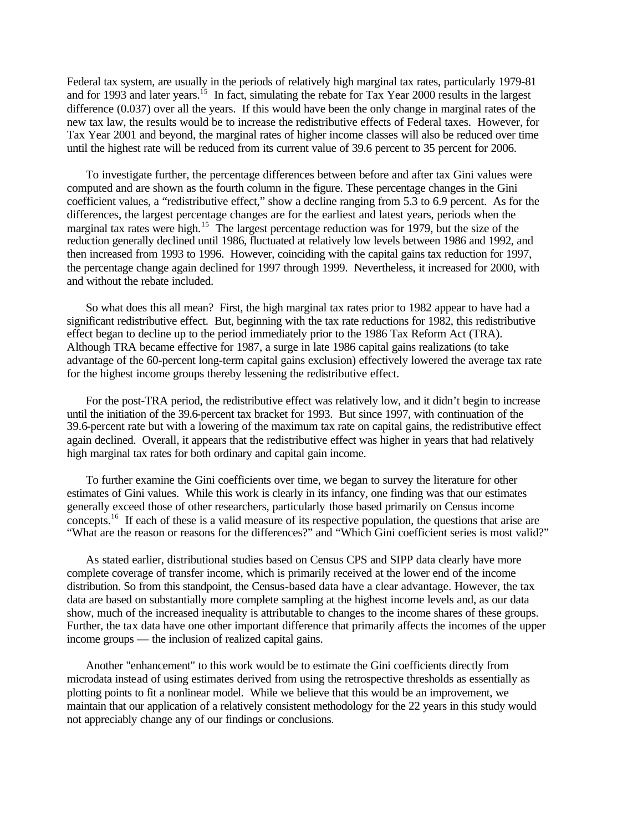Federal tax system, are usually in the periods of relatively high marginal tax rates, particularly 1979-81 and for 1993 and later years.<sup>15</sup> In fact, simulating the rebate for Tax Year 2000 results in the largest difference (0.037) over all the years. If this would have been the only change in marginal rates of the new tax law, the results would be to increase the redistributive effects of Federal taxes. However, for Tax Year 2001 and beyond, the marginal rates of higher income classes will also be reduced over time until the highest rate will be reduced from its current value of 39.6 percent to 35 percent for 2006.

To investigate further, the percentage differences between before and after tax Gini values were computed and are shown as the fourth column in the figure. These percentage changes in the Gini coefficient values, a "redistributive effect," show a decline ranging from 5.3 to 6.9 percent. As for the differences, the largest percentage changes are for the earliest and latest years, periods when the marginal tax rates were high.<sup>15</sup> The largest percentage reduction was for 1979, but the size of the reduction generally declined until 1986, fluctuated at relatively low levels between 1986 and 1992, and then increased from 1993 to 1996. However, coinciding with the capital gains tax reduction for 1997, the percentage change again declined for 1997 through 1999. Nevertheless, it increased for 2000, with and without the rebate included.

So what does this all mean? First, the high marginal tax rates prior to 1982 appear to have had a significant redistributive effect. But, beginning with the tax rate reductions for 1982, this redistributive effect began to decline up to the period immediately prior to the 1986 Tax Reform Act (TRA). Although TRA became effective for 1987, a surge in late 1986 capital gains realizations (to take advantage of the 60-percent long-term capital gains exclusion) effectively lowered the average tax rate for the highest income groups thereby lessening the redistributive effect.

For the post-TRA period, the redistributive effect was relatively low, and it didn't begin to increase until the initiation of the 39.6-percent tax bracket for 1993. But since 1997, with continuation of the 39.6-percent rate but with a lowering of the maximum tax rate on capital gains, the redistributive effect again declined. Overall, it appears that the redistributive effect was higher in years that had relatively high marginal tax rates for both ordinary and capital gain income.

To further examine the Gini coefficients over time, we began to survey the literature for other estimates of Gini values. While this work is clearly in its infancy, one finding was that our estimates generally exceed those of other researchers, particularly those based primarily on Census income concepts.<sup>16</sup> If each of these is a valid measure of its respective population, the questions that arise are "What are the reason or reasons for the differences?" and "Which Gini coefficient series is most valid?"

As stated earlier, distributional studies based on Census CPS and SIPP data clearly have more complete coverage of transfer income, which is primarily received at the lower end of the income distribution. So from this standpoint, the Census-based data have a clear advantage. However, the tax data are based on substantially more complete sampling at the highest income levels and, as our data show, much of the increased inequality is attributable to changes to the income shares of these groups. Further, the tax data have one other important difference that primarily affects the incomes of the upper income groups — the inclusion of realized capital gains.

Another "enhancement" to this work would be to estimate the Gini coefficients directly from microdata instead of using estimates derived from using the retrospective thresholds as essentially as plotting points to fit a nonlinear model. While we believe that this would be an improvement, we maintain that our application of a relatively consistent methodology for the 22 years in this study would not appreciably change any of our findings or conclusions.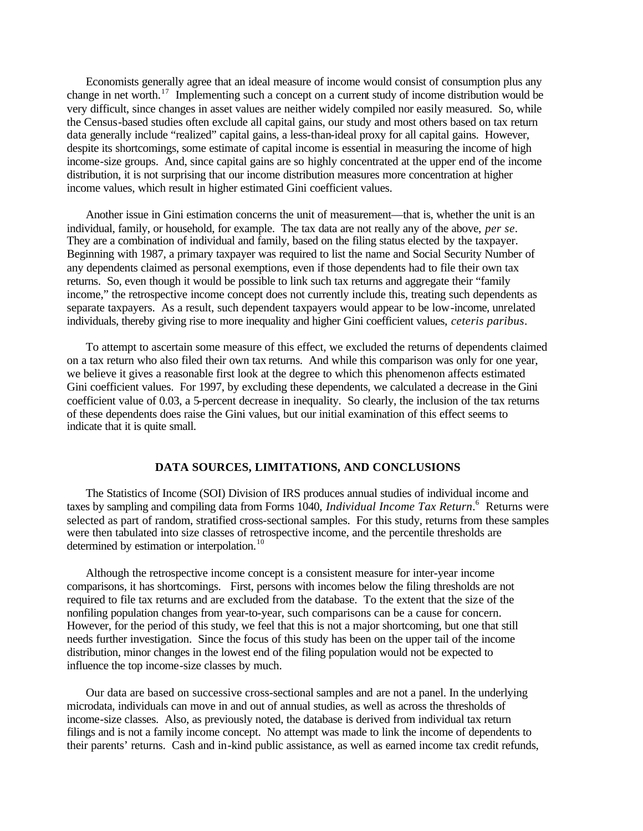Economists generally agree that an ideal measure of income would consist of consumption plus any change in net worth.<sup>17</sup> Implementing such a concept on a current study of income distribution would be very difficult, since changes in asset values are neither widely compiled nor easily measured. So, while the Census-based studies often exclude all capital gains, our study and most others based on tax return data generally include "realized" capital gains, a less-than-ideal proxy for all capital gains. However, despite its shortcomings, some estimate of capital income is essential in measuring the income of high income-size groups. And, since capital gains are so highly concentrated at the upper end of the income distribution, it is not surprising that our income distribution measures more concentration at higher income values, which result in higher estimated Gini coefficient values.

Another issue in Gini estimation concerns the unit of measurement—that is, whether the unit is an individual, family, or household, for example. The tax data are not really any of the above, *per se*. They are a combination of individual and family, based on the filing status elected by the taxpayer. Beginning with 1987, a primary taxpayer was required to list the name and Social Security Number of any dependents claimed as personal exemptions, even if those dependents had to file their own tax returns. So, even though it would be possible to link such tax returns and aggregate their "family income," the retrospective income concept does not currently include this, treating such dependents as separate taxpayers. As a result, such dependent taxpayers would appear to be low-income, unrelated individuals, thereby giving rise to more inequality and higher Gini coefficient values, *ceteris paribus*.

To attempt to ascertain some measure of this effect, we excluded the returns of dependents claimed on a tax return who also filed their own tax returns. And while this comparison was only for one year, we believe it gives a reasonable first look at the degree to which this phenomenon affects estimated Gini coefficient values. For 1997, by excluding these dependents, we calculated a decrease in the Gini coefficient value of 0.03, a 5-percent decrease in inequality. So clearly, the inclusion of the tax returns of these dependents does raise the Gini values, but our initial examination of this effect seems to indicate that it is quite small.

## **DATA SOURCES, LIMITATIONS, AND CONCLUSIONS**

The Statistics of Income (SOI) Division of IRS produces annual studies of individual income and taxes by sampling and compiling data from Forms 1040, *Individual Income Tax Return*. 6 Returns were selected as part of random, stratified cross-sectional samples. For this study, returns from these samples were then tabulated into size classes of retrospective income, and the percentile thresholds are determined by estimation or interpolation.<sup>10</sup>

Although the retrospective income concept is a consistent measure for inter-year income comparisons, it has shortcomings. First, persons with incomes below the filing thresholds are not required to file tax returns and are excluded from the database. To the extent that the size of the nonfiling population changes from year-to-year, such comparisons can be a cause for concern. However, for the period of this study, we feel that this is not a major shortcoming, but one that still needs further investigation. Since the focus of this study has been on the upper tail of the income distribution, minor changes in the lowest end of the filing population would not be expected to influence the top income-size classes by much.

Our data are based on successive cross-sectional samples and are not a panel. In the underlying microdata, individuals can move in and out of annual studies, as well as across the thresholds of income-size classes. Also, as previously noted, the database is derived from individual tax return filings and is not a family income concept. No attempt was made to link the income of dependents to their parents' returns. Cash and in-kind public assistance, as well as earned income tax credit refunds,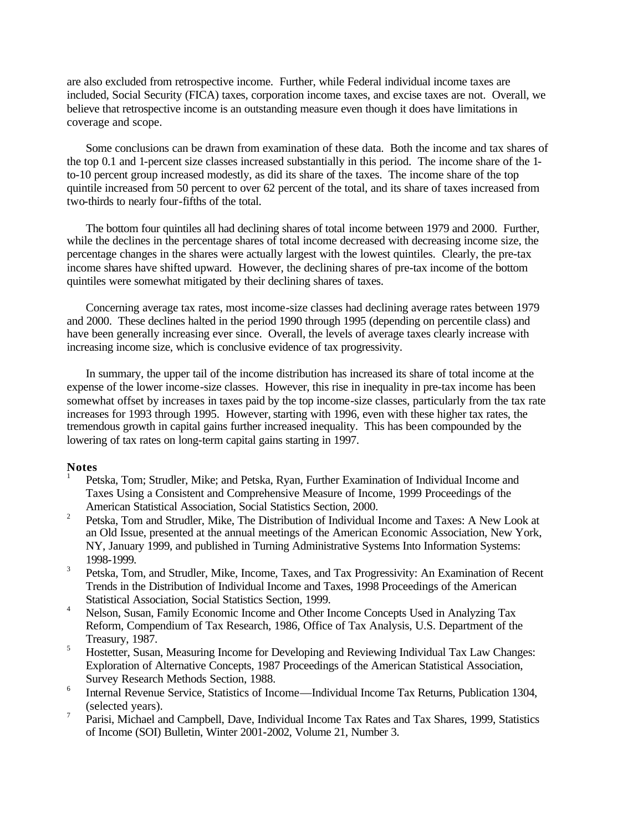are also excluded from retrospective income. Further, while Federal individual income taxes are included, Social Security (FICA) taxes, corporation income taxes, and excise taxes are not. Overall, we believe that retrospective income is an outstanding measure even though it does have limitations in coverage and scope.

Some conclusions can be drawn from examination of these data. Both the income and tax shares of the top 0.1 and 1-percent size classes increased substantially in this period. The income share of the 1 to-10 percent group increased modestly, as did its share of the taxes. The income share of the top quintile increased from 50 percent to over 62 percent of the total, and its share of taxes increased from two-thirds to nearly four-fifths of the total.

The bottom four quintiles all had declining shares of total income between 1979 and 2000. Further, while the declines in the percentage shares of total income decreased with decreasing income size, the percentage changes in the shares were actually largest with the lowest quintiles. Clearly, the pre-tax income shares have shifted upward. However, the declining shares of pre-tax income of the bottom quintiles were somewhat mitigated by their declining shares of taxes.

Concerning average tax rates, most income-size classes had declining average rates between 1979 and 2000. These declines halted in the period 1990 through 1995 (depending on percentile class) and have been generally increasing ever since. Overall, the levels of average taxes clearly increase with increasing income size, which is conclusive evidence of tax progressivity.

In summary, the upper tail of the income distribution has increased its share of total income at the expense of the lower income-size classes. However, this rise in inequality in pre-tax income has been somewhat offset by increases in taxes paid by the top income-size classes, particularly from the tax rate increases for 1993 through 1995. However, starting with 1996, even with these higher tax rates, the tremendous growth in capital gains further increased inequality. This has been compounded by the lowering of tax rates on long-term capital gains starting in 1997.

#### **Notes** 1

- Petska, Tom; Strudler, Mike; and Petska, Ryan, Further Examination of Individual Income and Taxes Using a Consistent and Comprehensive Measure of Income, 1999 Proceedings of the American Statistical Association, Social Statistics Section, 2000.
- 2 Petska, Tom and Strudler, Mike, The Distribution of Individual Income and Taxes: A New Look at an Old Issue, presented at the annual meetings of the American Economic Association, New York, NY, January 1999, and published in Turning Administrative Systems Into Information Systems: 1998-1999.
- 3 Petska, Tom, and Strudler, Mike, Income, Taxes, and Tax Progressivity: An Examination of Recent Trends in the Distribution of Individual Income and Taxes, 1998 Proceedings of the American Statistical Association, Social Statistics Section, 1999.
- <sup>4</sup> Nelson, Susan, Family Economic Income and Other Income Concepts Used in Analyzing Tax Reform, Compendium of Tax Research, 1986, Office of Tax Analysis, U.S. Department of the Treasury, 1987.
- <sup>5</sup> Hostetter, Susan, Measuring Income for Developing and Reviewing Individual Tax Law Changes: Exploration of Alternative Concepts, 1987 Proceedings of the American Statistical Association, Survey Research Methods Section, 1988.
- 6 Internal Revenue Service, Statistics of Income—Individual Income Tax Returns, Publication 1304, (selected years).
- 7 Parisi, Michael and Campbell, Dave, Individual Income Tax Rates and Tax Shares, 1999, Statistics of Income (SOI) Bulletin, Winter 2001-2002, Volume 21, Number 3.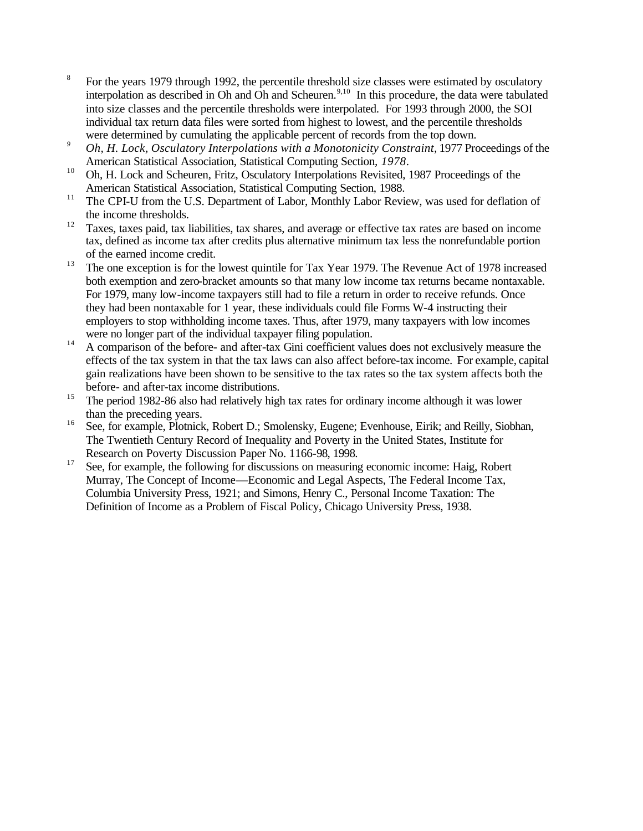- 8 For the years 1979 through 1992, the percentile threshold size classes were estimated by osculatory interpolation as described in Oh and Oh and Scheuren.<sup>9,10</sup> In this procedure, the data were tabulated into size classes and the percentile thresholds were interpolated. For 1993 through 2000, the SOI individual tax return data files were sorted from highest to lowest, and the percentile thresholds were determined by cumulating the applicable percent of records from the top down.
- <sup>9</sup> *Oh, H. Lock, Osculatory Interpolations with a Monotonicity Constraint, 1977 Proceedings of the* American Statistical Association, Statistical Computing Section*, 1978*.
- <sup>10</sup> Oh, H. Lock and Scheuren, Fritz, Osculatory Interpolations Revisited, 1987 Proceedings of the American Statistical Association, Statistical Computing Section, 1988.
- <sup>11</sup> The CPI-U from the U.S. Department of Labor, Monthly Labor Review, was used for deflation of the income thresholds.
- <sup>12</sup> Taxes, taxes paid, tax liabilities, tax shares, and average or effective tax rates are based on income tax, defined as income tax after credits plus alternative minimum tax less the nonrefundable portion of the earned income credit.
- <sup>13</sup> The one exception is for the lowest quintile for Tax Year 1979. The Revenue Act of 1978 increased both exemption and zero-bracket amounts so that many low income tax returns became nontaxable. For 1979, many low-income taxpayers still had to file a return in order to receive refunds. Once they had been nontaxable for 1 year, these individuals could file Forms W-4 instructing their employers to stop withholding income taxes. Thus, after 1979, many taxpayers with low incomes were no longer part of the individual taxpayer filing population.
- $14$  A comparison of the before- and after-tax Gini coefficient values does not exclusively measure the effects of the tax system in that the tax laws can also affect before-tax income. For example, capital gain realizations have been shown to be sensitive to the tax rates so the tax system affects both the before- and after-tax income distributions.
- <sup>15</sup> The period 1982-86 also had relatively high tax rates for ordinary income although it was lower than the preceding years.
- <sup>16</sup> See, for example, Plotnick, Robert D.; Smolensky, Eugene; Evenhouse, Eirik; and Reilly, Siobhan, The Twentieth Century Record of Inequality and Poverty in the United States, Institute for Research on Poverty Discussion Paper No. 1166-98, 1998.
- <sup>17</sup> See, for example, the following for discussions on measuring economic income: Haig, Robert Murray, The Concept of Income—Economic and Legal Aspects, The Federal Income Tax, Columbia University Press, 1921; and Simons, Henry C., Personal Income Taxation: The Definition of Income as a Problem of Fiscal Policy, Chicago University Press, 1938.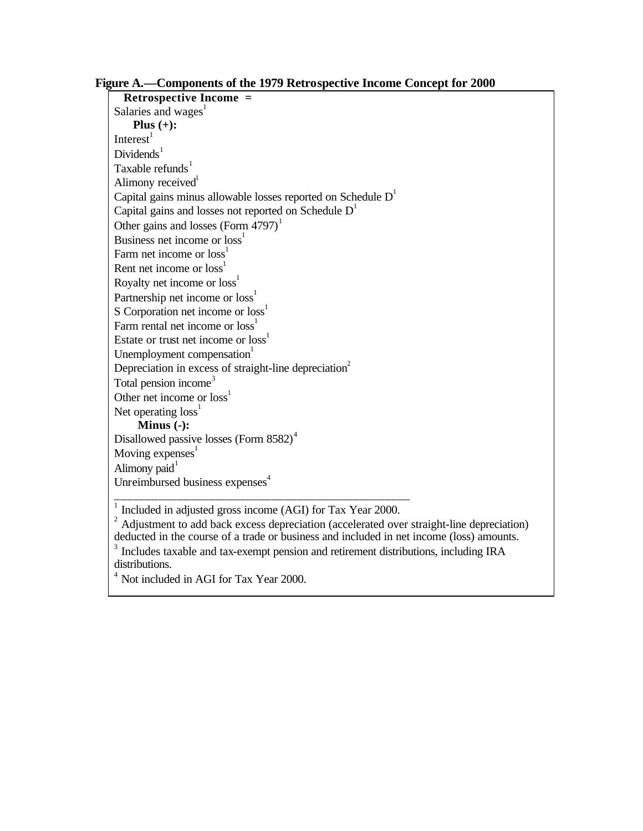**Retrospective Income =** Salaries and wages $<sup>1</sup>$ </sup> **Plus (+):** Interest $1$  $Dividends<sup>1</sup>$ Taxable refunds $1$ Alimony received<sup>1</sup> Capital gains minus allowable losses reported on Schedule  $D<sup>1</sup>$ Capital gains and losses not reported on Schedule  $D<sup>1</sup>$ Other gains and losses (Form  $4797$ )<sup>1</sup> Business net income or loss<sup>1</sup> Farm net income or loss<sup>1</sup> Rent net income or  $loss<sup>1</sup>$ Royalty net income or loss<sup>1</sup> Partnership net income or loss<sup>1</sup> S Corporation net income or loss<sup>1</sup> Farm rental net income or loss<sup>1</sup> Estate or trust net income or  $loss<sup>1</sup>$ Unemployment compensation $1$ Depreciation in excess of straight-line depreciation<sup>2</sup> Total pension income<sup>3</sup> Other net income or loss<sup>1</sup> Net operating  $loss<sup>1</sup>$ **Minus (-):** Disallowed passive losses (Form 8582)<sup>4</sup> Moving  $expenses<sup>1</sup>$ Alimony paid $1$ Unreimbursed business expenses<sup>4</sup>

\_\_\_\_\_\_\_\_\_\_\_\_\_\_\_\_\_\_\_\_\_\_\_\_\_\_\_\_\_\_\_\_\_\_\_\_\_\_\_\_\_\_\_\_\_\_\_ 1 Included in adjusted gross income (AGI) for Tax Year 2000.

 $2$  Adjustment to add back excess depreciation (accelerated over straight-line depreciation) deducted in the course of a trade or business and included in net income (loss) amounts. <sup>3</sup> Includes taxable and tax-exempt pension and retirement distributions, including IRA distributions.

<sup>4</sup> Not included in AGI for Tax Year 2000.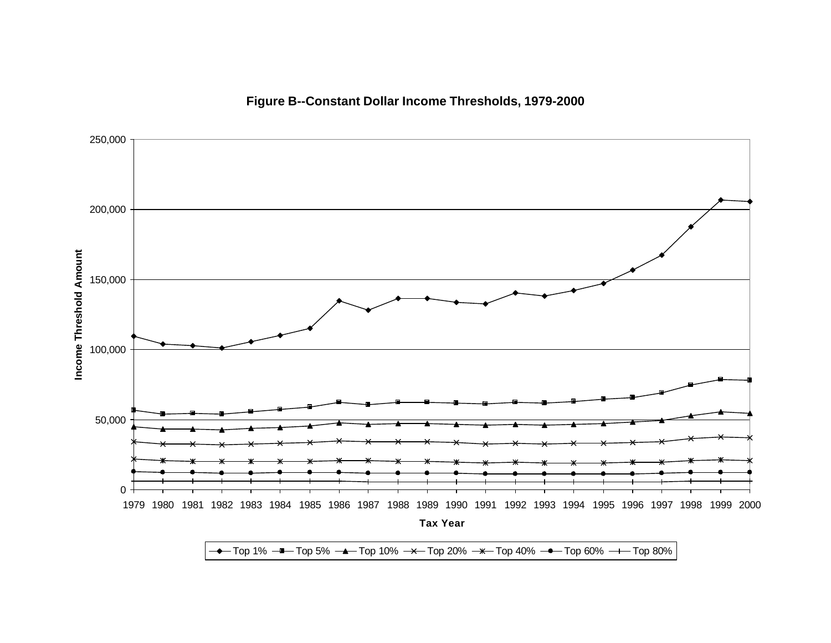



 $\rightarrow$  Top 1%  $\rightarrow$  Top 5%  $\rightarrow$  Top 10%  $\rightarrow$  Top 20%  $\rightarrow$  Top 40%  $\rightarrow$  Top 60%  $\rightarrow$  Top 80%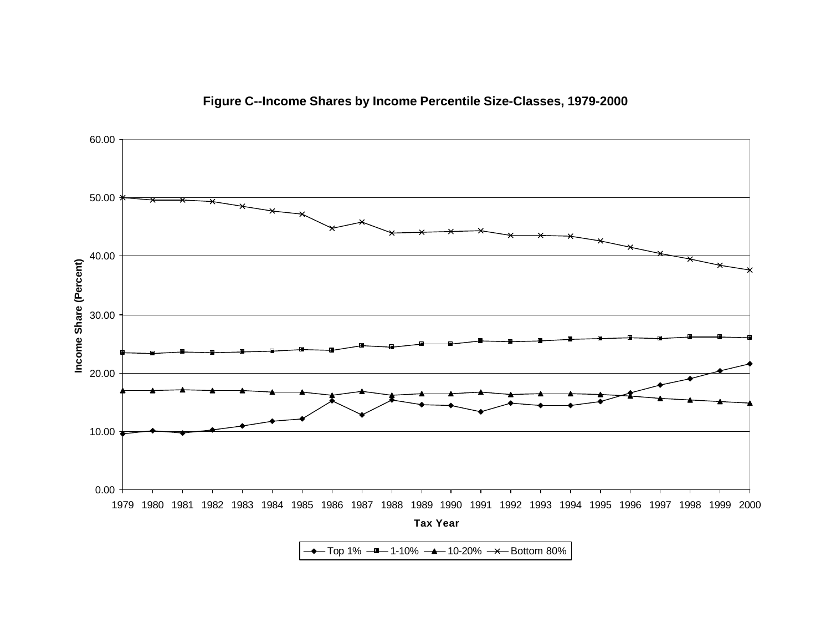

## **Figure C--Income Shares by Income Percentile Size-Classes, 1979-2000**

 $\rightarrow$  Top 1%  $\rightarrow$  1-10%  $\rightarrow$  10-20%  $\rightarrow$  Bottom 80%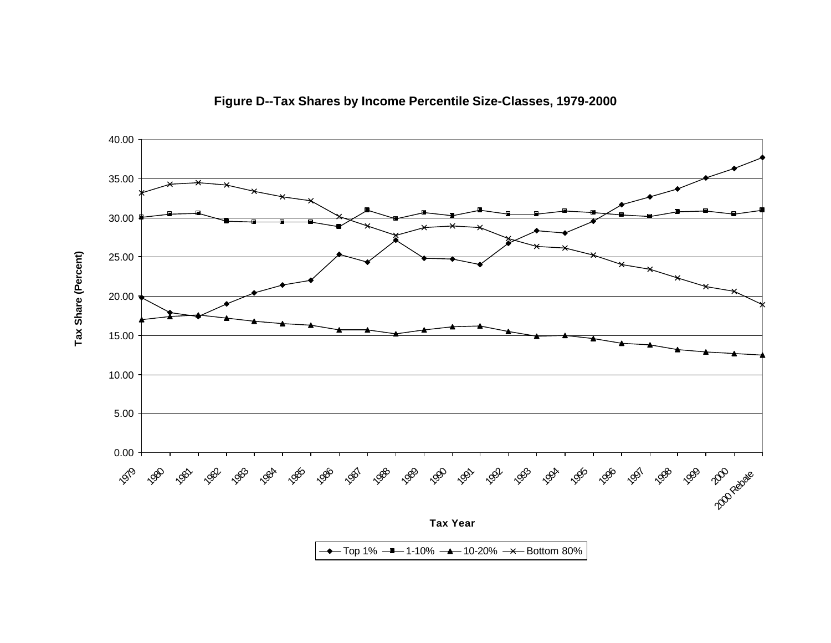

**Figure D--Tax Shares by Income Percentile Size-Classes, 1979-2000**

 $\rightarrow$  Top 1%  $\rightarrow$  1-10%  $\rightarrow$  10-20%  $\rightarrow$  Bottom 80%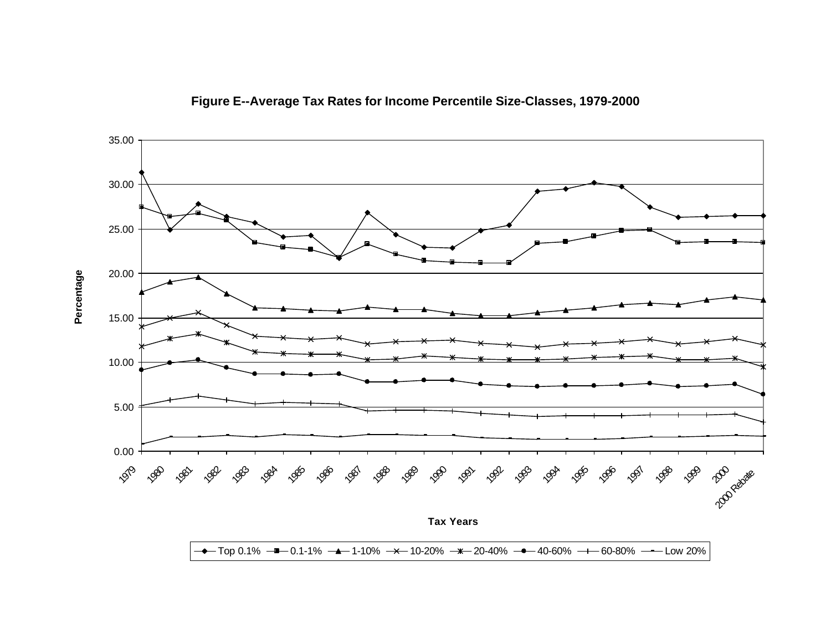

**Figure E--Average Tax Rates for Income Percentile Size-Classes, 1979-2000**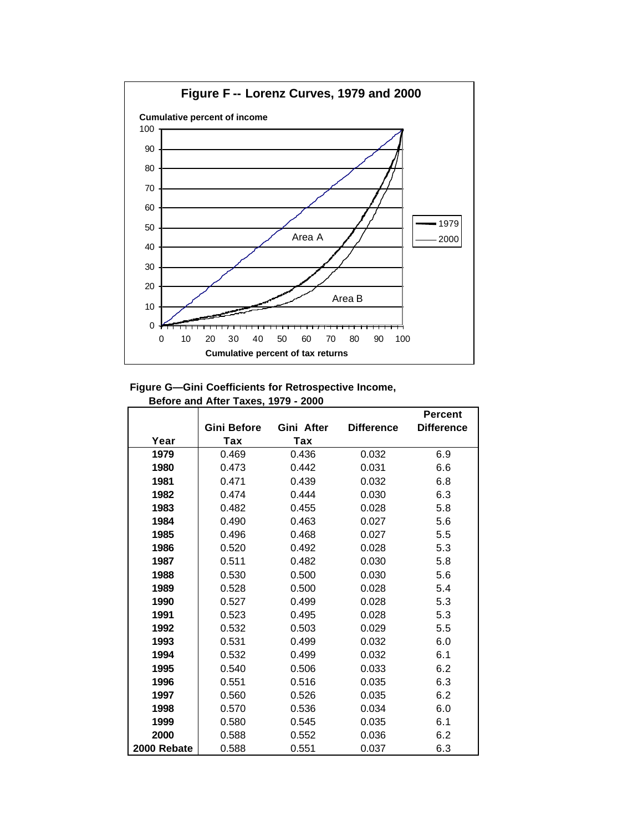

## **Figure G—Gini Coefficients for Retrospective Income, Before and After Taxes, 1979 - 2000**

|             |             |            |                   | Percent           |
|-------------|-------------|------------|-------------------|-------------------|
|             | Gini Before | Gini After | <b>Difference</b> | <b>Difference</b> |
| Year        | Tax         | Tax        |                   |                   |
| 1979        | 0.469       | 0.436      | 0.032             | 6.9               |
| 1980        | 0.473       | 0.442      | 0.031             | 6.6               |
| 1981        | 0.471       | 0.439      | 0.032             | 6.8               |
| 1982        | 0.474       | 0.444      | 0.030             | 6.3               |
| 1983        | 0.482       | 0.455      | 0.028             | 5.8               |
| 1984        | 0.490       | 0.463      | 0.027             | 5.6               |
| 1985        | 0.496       | 0.468      | 0.027             | 5.5               |
| 1986        | 0.520       | 0.492      | 0.028             | 5.3               |
| 1987        | 0.511       | 0.482      | 0.030             | 5.8               |
| 1988        | 0.530       | 0.500      | 0.030             | 5.6               |
| 1989        | 0.528       | 0.500      | 0.028             | 5.4               |
| 1990        | 0.527       | 0.499      | 0.028             | 5.3               |
| 1991        | 0.523       | 0.495      | 0.028             | 5.3               |
| 1992        | 0.532       | 0.503      | 0.029             | 5.5               |
| 1993        | 0.531       | 0.499      | 0.032             | 6.0               |
| 1994        | 0.532       | 0.499      | 0.032             | 6.1               |
| 1995        | 0.540       | 0.506      | 0.033             | 6.2               |
| 1996        | 0.551       | 0.516      | 0.035             | 6.3               |
| 1997        | 0.560       | 0.526      | 0.035             | 6.2               |
| 1998        | 0.570       | 0.536      | 0.034             | 6.0               |
| 1999        | 0.580       | 0.545      | 0.035             | 6.1               |
| 2000        | 0.588       | 0.552      | 0.036             | 6.2               |
| 2000 Rebate | 0.588       | 0.551      | 0.037             | 6.3               |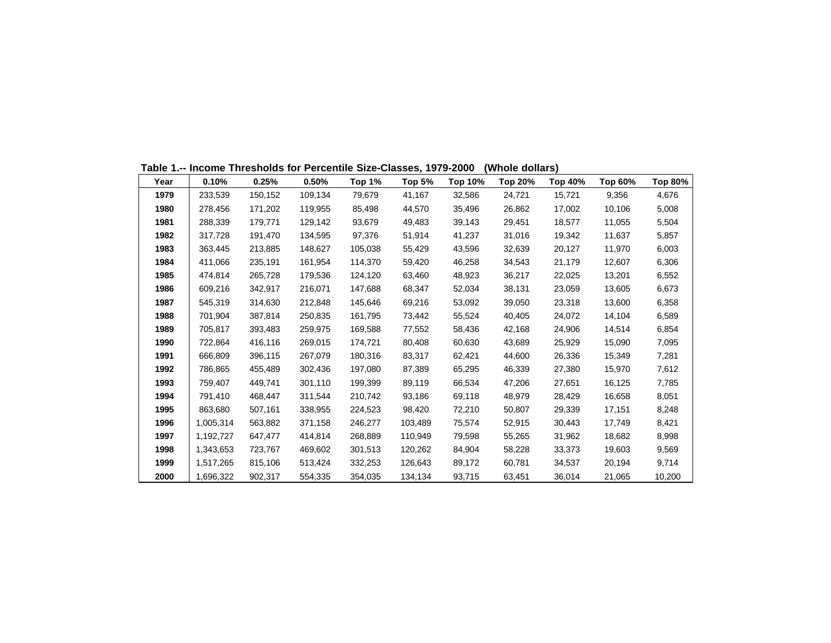| Year | 0.10%     | 0.25%   | 0.50%   | Top 1%  | Top 5%  | Top 10% | Top 20% | Top 40% | Top 60% | Top 80% |
|------|-----------|---------|---------|---------|---------|---------|---------|---------|---------|---------|
| 1979 | 233,539   | 150,152 | 109,134 | 79,679  | 41,167  | 32,586  | 24,721  | 15,721  | 9,356   | 4,676   |
| 1980 | 278.456   | 171,202 | 119,955 | 85,498  | 44,570  | 35,496  | 26,862  | 17,002  | 10,106  | 5,008   |
| 1981 | 288,339   | 179,771 | 129,142 | 93,679  | 49,483  | 39,143  | 29,451  | 18,577  | 11,055  | 5,504   |
| 1982 | 317,728   | 191,470 | 134,595 | 97,376  | 51,914  | 41,237  | 31,016  | 19,342  | 11,637  | 5,857   |
| 1983 | 363,445   | 213,885 | 148,627 | 105,038 | 55,429  | 43,596  | 32,639  | 20,127  | 11,970  | 6,003   |
| 1984 | 411,066   | 235,191 | 161,954 | 114,370 | 59,420  | 46,258  | 34,543  | 21,179  | 12,607  | 6,306   |
| 1985 | 474,814   | 265,728 | 179,536 | 124,120 | 63,460  | 48,923  | 36,217  | 22,025  | 13,201  | 6,552   |
| 1986 | 609,216   | 342,917 | 216,071 | 147,688 | 68,347  | 52,034  | 38,131  | 23,059  | 13,605  | 6,673   |
| 1987 | 545,319   | 314,630 | 212,848 | 145,646 | 69,216  | 53,092  | 39,050  | 23,318  | 13,600  | 6,358   |
| 1988 | 701.904   | 387,814 | 250,835 | 161,795 | 73,442  | 55,524  | 40,405  | 24,072  | 14,104  | 6,589   |
| 1989 | 705.817   | 393,483 | 259,975 | 169,588 | 77,552  | 58,436  | 42,168  | 24,906  | 14,514  | 6,854   |
| 1990 | 722,864   | 416,116 | 269,015 | 174,721 | 80,408  | 60,630  | 43,689  | 25,929  | 15,090  | 7,095   |
| 1991 | 666,809   | 396,115 | 267,079 | 180,316 | 83,317  | 62,421  | 44,600  | 26,336  | 15,349  | 7,281   |
| 1992 | 786,865   | 455,489 | 302,436 | 197,080 | 87,389  | 65,295  | 46,339  | 27,380  | 15,970  | 7,612   |
| 1993 | 759,407   | 449,741 | 301,110 | 199,399 | 89,119  | 66,534  | 47,206  | 27,651  | 16,125  | 7,785   |
| 1994 | 791,410   | 468,447 | 311,544 | 210,742 | 93,186  | 69,118  | 48,979  | 28,429  | 16,658  | 8,051   |
| 1995 | 863,680   | 507,161 | 338,955 | 224,523 | 98,420  | 72,210  | 50,807  | 29,339  | 17,151  | 8,248   |
| 1996 | 1,005,314 | 563,882 | 371,158 | 246,277 | 103,489 | 75,574  | 52,915  | 30,443  | 17,749  | 8,421   |
| 1997 | 1.192,727 | 647,477 | 414,814 | 268,889 | 110,949 | 79,598  | 55,265  | 31,962  | 18,682  | 8,998   |
| 1998 | 1,343,653 | 723,767 | 469,602 | 301,513 | 120,262 | 84,904  | 58,228  | 33,373  | 19,603  | 9,569   |
| 1999 | 1,517,265 | 815,106 | 513,424 | 332,253 | 126,643 | 89,172  | 60,781  | 34,537  | 20,194  | 9,714   |
| 2000 | 1.696.322 | 902,317 | 554.335 | 354.035 | 134,134 | 93.715  | 63,451  | 36,014  | 21,065  | 10,200  |

**Table 1.-- Income Thresholds for Percentile Size-Classes, 1979-2000 (Whole dollars)**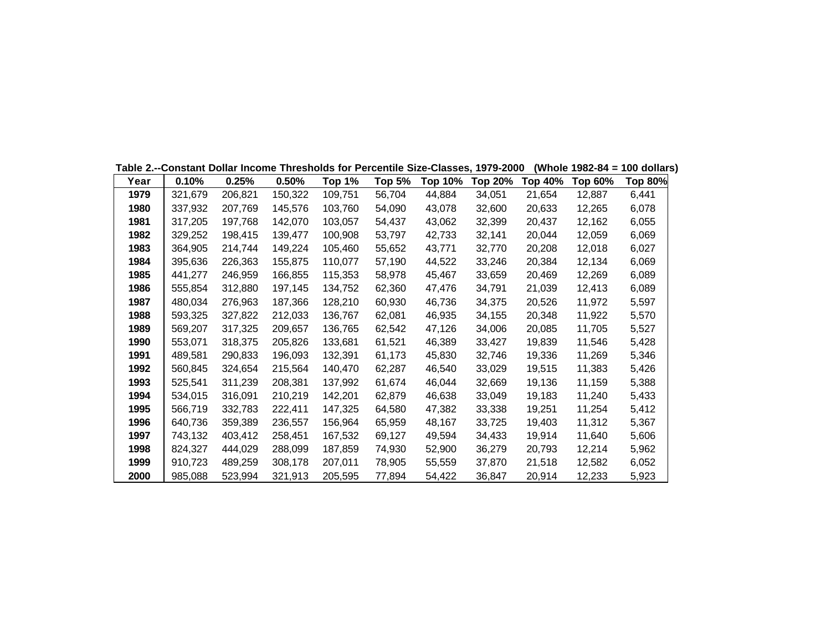|      | Table 2.--Constant Dollar Income Thresholds for Percentile Size-Classes, 1979-2000 |         |         |         |               |                |         |         |         | (Whole 1982-84 = 100 dollars) |
|------|------------------------------------------------------------------------------------|---------|---------|---------|---------------|----------------|---------|---------|---------|-------------------------------|
| Year | 0.10%                                                                              | 0.25%   | 0.50%   | Top 1%  | <b>Top 5%</b> | <b>Top 10%</b> | Top 20% | Top 40% | Top 60% | Top 80%                       |
| 1979 | 321,679                                                                            | 206,821 | 150,322 | 109,751 | 56,704        | 44,884         | 34,051  | 21,654  | 12,887  | 6,441                         |
| 1980 | 337,932                                                                            | 207,769 | 145,576 | 103,760 | 54,090        | 43,078         | 32,600  | 20,633  | 12,265  | 6,078                         |
| 1981 | 317,205                                                                            | 197,768 | 142,070 | 103.057 | 54,437        | 43,062         | 32,399  | 20,437  | 12,162  | 6,055                         |
| 1982 | 329,252                                                                            | 198,415 | 139,477 | 100,908 | 53,797        | 42,733         | 32,141  | 20,044  | 12,059  | 6,069                         |
| 1983 | 364,905                                                                            | 214,744 | 149,224 | 105,460 | 55,652        | 43,771         | 32,770  | 20,208  | 12,018  | 6,027                         |
| 1984 | 395,636                                                                            | 226,363 | 155,875 | 110,077 | 57,190        | 44,522         | 33,246  | 20,384  | 12,134  | 6,069                         |
| 1985 | 441,277                                                                            | 246,959 | 166,855 | 115,353 | 58,978        | 45,467         | 33,659  | 20,469  | 12,269  | 6,089                         |
| 1986 | 555,854                                                                            | 312,880 | 197,145 | 134,752 | 62,360        | 47,476         | 34,791  | 21,039  | 12,413  | 6,089                         |
| 1987 | 480,034                                                                            | 276,963 | 187,366 | 128,210 | 60,930        | 46,736         | 34,375  | 20,526  | 11,972  | 5,597                         |
| 1988 | 593,325                                                                            | 327,822 | 212,033 | 136,767 | 62,081        | 46,935         | 34,155  | 20,348  | 11,922  | 5,570                         |
| 1989 | 569,207                                                                            | 317,325 | 209,657 | 136,765 | 62,542        | 47,126         | 34,006  | 20,085  | 11,705  | 5,527                         |
| 1990 | 553,071                                                                            | 318,375 | 205,826 | 133,681 | 61,521        | 46,389         | 33,427  | 19,839  | 11,546  | 5,428                         |
| 1991 | 489,581                                                                            | 290,833 | 196,093 | 132,391 | 61,173        | 45,830         | 32,746  | 19,336  | 11,269  | 5,346                         |
| 1992 | 560,845                                                                            | 324,654 | 215,564 | 140,470 | 62,287        | 46,540         | 33,029  | 19,515  | 11,383  | 5,426                         |
| 1993 | 525,541                                                                            | 311,239 | 208,381 | 137,992 | 61,674        | 46,044         | 32,669  | 19,136  | 11,159  | 5,388                         |
| 1994 | 534,015                                                                            | 316,091 | 210,219 | 142,201 | 62,879        | 46,638         | 33,049  | 19,183  | 11,240  | 5,433                         |
| 1995 | 566,719                                                                            | 332,783 | 222,411 | 147,325 | 64,580        | 47,382         | 33,338  | 19,251  | 11,254  | 5,412                         |
| 1996 | 640,736                                                                            | 359,389 | 236,557 | 156,964 | 65,959        | 48,167         | 33,725  | 19,403  | 11,312  | 5,367                         |
| 1997 | 743,132                                                                            | 403,412 | 258,451 | 167,532 | 69,127        | 49,594         | 34,433  | 19,914  | 11,640  | 5,606                         |
| 1998 | 824,327                                                                            | 444,029 | 288,099 | 187,859 | 74,930        | 52,900         | 36,279  | 20,793  | 12,214  | 5,962                         |
| 1999 | 910,723                                                                            | 489,259 | 308,178 | 207,011 | 78,905        | 55,559         | 37,870  | 21,518  | 12,582  | 6,052                         |
| 2000 | 985,088                                                                            | 523,994 | 321,913 | 205,595 | 77,894        | 54,422         | 36,847  | 20,914  | 12,233  | 5,923                         |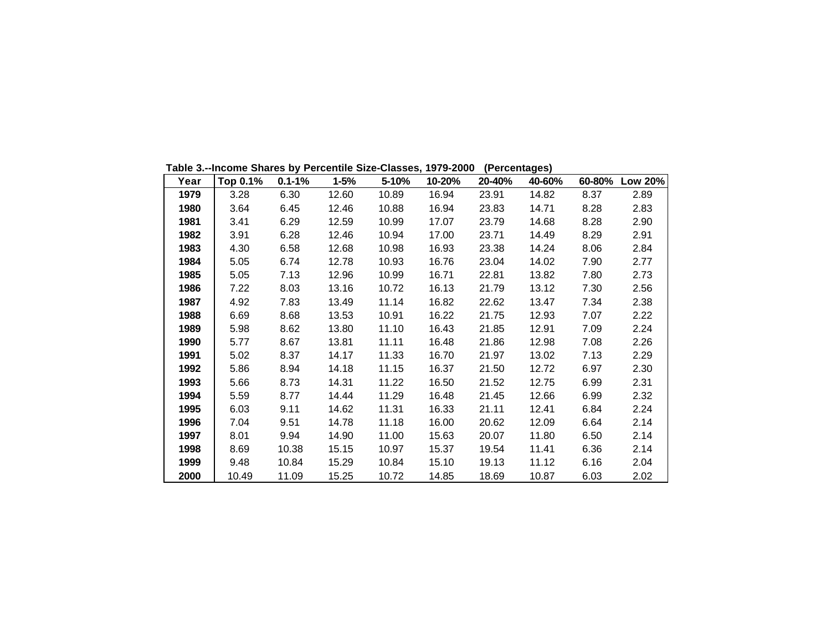| Year | Top 0.1% | $0.1 - 1%$ | $1 - 5%$ | 5-10% | 10-20% | 20-40% | 40-60% | 60-80% | <b>Low 20%</b> |
|------|----------|------------|----------|-------|--------|--------|--------|--------|----------------|
| 1979 | 3.28     | 6.30       | 12.60    | 10.89 | 16.94  | 23.91  | 14.82  | 8.37   | 2.89           |
| 1980 | 3.64     | 6.45       | 12.46    | 10.88 | 16.94  | 23.83  | 14.71  | 8.28   | 2.83           |
| 1981 | 3.41     | 6.29       | 12.59    | 10.99 | 17.07  | 23.79  | 14.68  | 8.28   | 2.90           |
| 1982 | 3.91     | 6.28       | 12.46    | 10.94 | 17.00  | 23.71  | 14.49  | 8.29   | 2.91           |
| 1983 | 4.30     | 6.58       | 12.68    | 10.98 | 16.93  | 23.38  | 14.24  | 8.06   | 2.84           |
| 1984 | 5.05     | 6.74       | 12.78    | 10.93 | 16.76  | 23.04  | 14.02  | 7.90   | 2.77           |
| 1985 | 5.05     | 7.13       | 12.96    | 10.99 | 16.71  | 22.81  | 13.82  | 7.80   | 2.73           |
| 1986 | 7.22     | 8.03       | 13.16    | 10.72 | 16.13  | 21.79  | 13.12  | 7.30   | 2.56           |
| 1987 | 4.92     | 7.83       | 13.49    | 11.14 | 16.82  | 22.62  | 13.47  | 7.34   | 2.38           |
| 1988 | 6.69     | 8.68       | 13.53    | 10.91 | 16.22  | 21.75  | 12.93  | 7.07   | 2.22           |
| 1989 | 5.98     | 8.62       | 13.80    | 11.10 | 16.43  | 21.85  | 12.91  | 7.09   | 2.24           |
| 1990 | 5.77     | 8.67       | 13.81    | 11.11 | 16.48  | 21.86  | 12.98  | 7.08   | 2.26           |
| 1991 | 5.02     | 8.37       | 14.17    | 11.33 | 16.70  | 21.97  | 13.02  | 7.13   | 2.29           |
| 1992 | 5.86     | 8.94       | 14.18    | 11.15 | 16.37  | 21.50  | 12.72  | 6.97   | 2.30           |
| 1993 | 5.66     | 8.73       | 14.31    | 11.22 | 16.50  | 21.52  | 12.75  | 6.99   | 2.31           |
| 1994 | 5.59     | 8.77       | 14.44    | 11.29 | 16.48  | 21.45  | 12.66  | 6.99   | 2.32           |
| 1995 | 6.03     | 9.11       | 14.62    | 11.31 | 16.33  | 21.11  | 12.41  | 6.84   | 2.24           |
| 1996 | 7.04     | 9.51       | 14.78    | 11.18 | 16.00  | 20.62  | 12.09  | 6.64   | 2.14           |
| 1997 | 8.01     | 9.94       | 14.90    | 11.00 | 15.63  | 20.07  | 11.80  | 6.50   | 2.14           |
| 1998 | 8.69     | 10.38      | 15.15    | 10.97 | 15.37  | 19.54  | 11.41  | 6.36   | 2.14           |
| 1999 | 9.48     | 10.84      | 15.29    | 10.84 | 15.10  | 19.13  | 11.12  | 6.16   | 2.04           |
| 2000 | 10.49    | 11.09      | 15.25    | 10.72 | 14.85  | 18.69  | 10.87  | 6.03   | 2.02           |

**Table 3.--Income Shares by Percentile Size-Classes, 1979-2000 (Percentages)**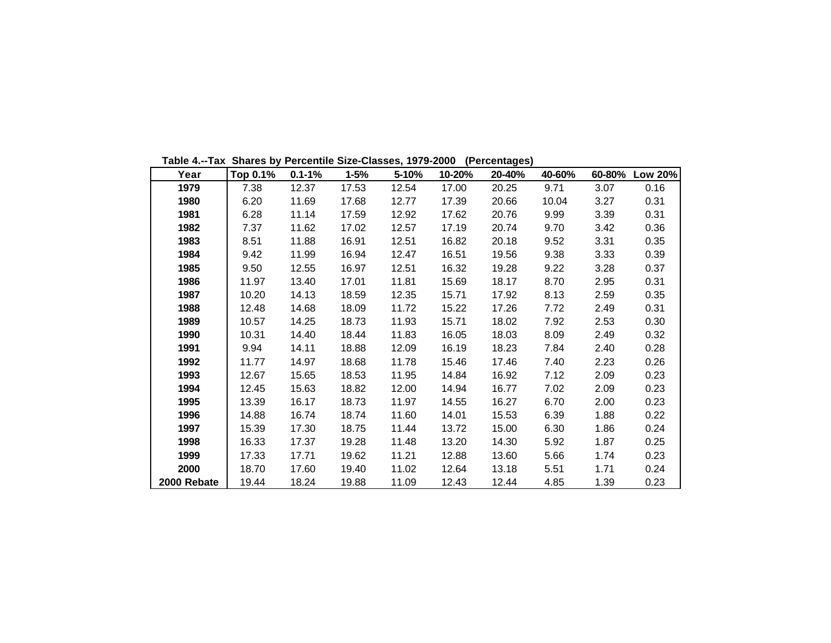**Table 4.--Tax Shares by Percentile Size-Classes, 1979-2000 (Percentages)**

| Year        | Top 0.1% | $0.1 - 1%$ | $1 - 5%$ | 5-10% | 10-20% | 20-40% | 40-60% | 60-80% | <b>Low 20%</b> |
|-------------|----------|------------|----------|-------|--------|--------|--------|--------|----------------|
| 1979        | 7.38     | 12.37      | 17.53    | 12.54 | 17.00  | 20.25  | 9.71   | 3.07   | 0.16           |
| 1980        | 6.20     | 11.69      | 17.68    | 12.77 | 17.39  | 20.66  | 10.04  | 3.27   | 0.31           |
| 1981        | 6.28     | 11.14      | 17.59    | 12.92 | 17.62  | 20.76  | 9.99   | 3.39   | 0.31           |
| 1982        | 7.37     | 11.62      | 17.02    | 12.57 | 17.19  | 20.74  | 9.70   | 3.42   | 0.36           |
| 1983        | 8.51     | 11.88      | 16.91    | 12.51 | 16.82  | 20.18  | 9.52   | 3.31   | 0.35           |
| 1984        | 9.42     | 11.99      | 16.94    | 12.47 | 16.51  | 19.56  | 9.38   | 3.33   | 0.39           |
| 1985        | 9.50     | 12.55      | 16.97    | 12.51 | 16.32  | 19.28  | 9.22   | 3.28   | 0.37           |
| 1986        | 11.97    | 13.40      | 17.01    | 11.81 | 15.69  | 18.17  | 8.70   | 2.95   | 0.31           |
| 1987        | 10.20    | 14.13      | 18.59    | 12.35 | 15.71  | 17.92  | 8.13   | 2.59   | 0.35           |
| 1988        | 12.48    | 14.68      | 18.09    | 11.72 | 15.22  | 17.26  | 7.72   | 2.49   | 0.31           |
| 1989        | 10.57    | 14.25      | 18.73    | 11.93 | 15.71  | 18.02  | 7.92   | 2.53   | 0.30           |
| 1990        | 10.31    | 14.40      | 18.44    | 11.83 | 16.05  | 18.03  | 8.09   | 2.49   | 0.32           |
| 1991        | 9.94     | 14.11      | 18.88    | 12.09 | 16.19  | 18.23  | 7.84   | 2.40   | 0.28           |
| 1992        | 11.77    | 14.97      | 18.68    | 11.78 | 15.46  | 17.46  | 7.40   | 2.23   | 0.26           |
| 1993        | 12.67    | 15.65      | 18.53    | 11.95 | 14.84  | 16.92  | 7.12   | 2.09   | 0.23           |
| 1994        | 12.45    | 15.63      | 18.82    | 12.00 | 14.94  | 16.77  | 7.02   | 2.09   | 0.23           |
| 1995        | 13.39    | 16.17      | 18.73    | 11.97 | 14.55  | 16.27  | 6.70   | 2.00   | 0.23           |
| 1996        | 14.88    | 16.74      | 18.74    | 11.60 | 14.01  | 15.53  | 6.39   | 1.88   | 0.22           |
| 1997        | 15.39    | 17.30      | 18.75    | 11.44 | 13.72  | 15.00  | 6.30   | 1.86   | 0.24           |
| 1998        | 16.33    | 17.37      | 19.28    | 11.48 | 13.20  | 14.30  | 5.92   | 1.87   | 0.25           |
| 1999        | 17.33    | 17.71      | 19.62    | 11.21 | 12.88  | 13.60  | 5.66   | 1.74   | 0.23           |
| 2000        | 18.70    | 17.60      | 19.40    | 11.02 | 12.64  | 13.18  | 5.51   | 1.71   | 0.24           |
| 2000 Rebate | 19.44    | 18.24      | 19.88    | 11.09 | 12.43  | 12.44  | 4.85   | 1.39   | 0.23           |